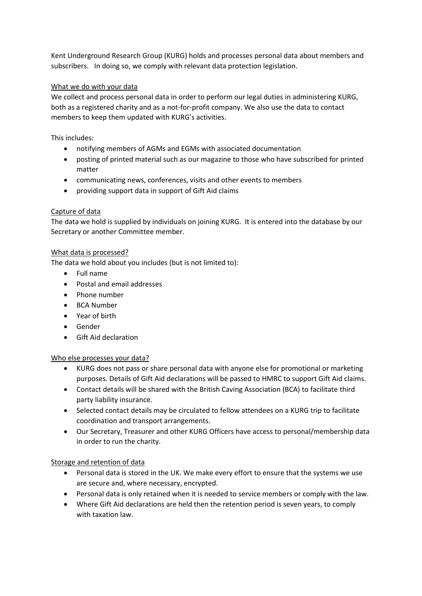Kent Underground Research Group (KURG) holds and processes personal data about members and subscribers. In doing so, we comply with relevant data protection legislation.

# What we do with your data

We collect and process personal data in order to perform our legal duties in administering KURG, both as a registered charity and as a not-for-profit company. We also use the data to contact members to keep them updated with KURG's activities.

This includes:

- notifying members of AGMs and EGMs with associated documentation
- posting of printed material such as our magazine to those who have subscribed for printed matter
- communicating news, conferences, visits and other events to members
- providing support data in support of Gift Aid claims

## Capture of data

The data we hold is supplied by individuals on joining KURG. It is entered into the database by our Secretary or another Committee member.

## What data is processed?

The data we hold about you includes (but is not limited to):

- Full name
- Postal and email addresses
- Phone number
- BCA Number
- Year of birth
- Gender
- Gift Aid declaration

## Who else processes your data?

- KURG does not pass or share personal data with anyone else for promotional or marketing purposes. Details of Gift Aid declarations will be passed to HMRC to support Gift Aid claims.
- Contact details will be shared with the British Caving Association (BCA) to facilitate third party liability insurance.
- Selected contact details may be circulated to fellow attendees on a KURG trip to facilitate coordination and transport arrangements.
- Our Secretary, Treasurer and other KURG Officers have access to personal/membership data in order to run the charity.

## Storage and retention of data

- Personal data is stored in the UK. We make every effort to ensure that the systems we use are secure and, where necessary, encrypted.
- Personal data is only retained when it is needed to service members or comply with the law.
- Where Gift Aid declarations are held then the retention period is seven years, to comply with taxation law.